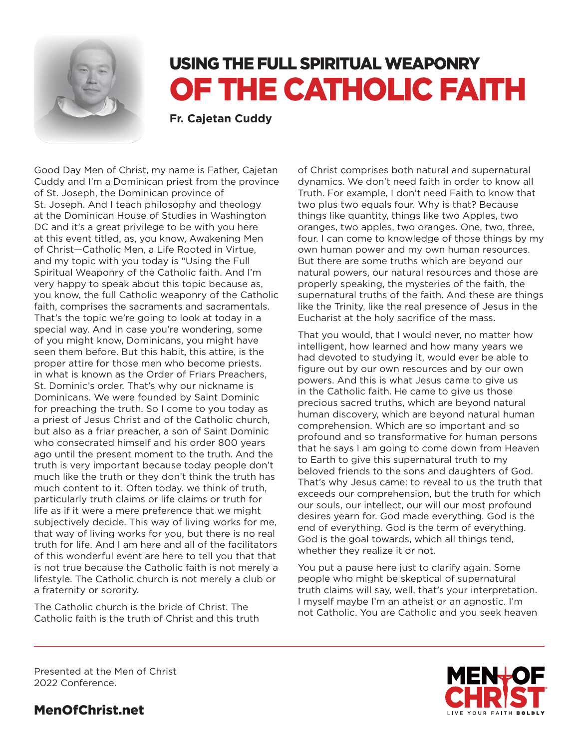

# USING THE FULL SPIRITUAL WEAPONRY OF THE CATHOLIC FAITH

**Fr. Cajetan Cuddy**

Good Day Men of Christ, my name is Father, Cajetan Cuddy and I'm a Dominican priest from the province of St. Joseph, the Dominican province of St. Joseph. And I teach philosophy and theology at the Dominican House of Studies in Washington DC and it's a great privilege to be with you here at this event titled, as, you know, Awakening Men of Christ—Catholic Men, a Life Rooted in Virtue, and my topic with you today is "Using the Full Spiritual Weaponry of the Catholic faith. And I'm very happy to speak about this topic because as, you know, the full Catholic weaponry of the Catholic faith, comprises the sacraments and sacramentals. That's the topic we're going to look at today in a special way. And in case you're wondering, some of you might know, Dominicans, you might have seen them before. But this habit, this attire, is the proper attire for those men who become priests. in what is known as the Order of Friars Preachers, St. Dominic's order. That's why our nickname is Dominicans. We were founded by Saint Dominic for preaching the truth. So I come to you today as a priest of Jesus Christ and of the Catholic church, but also as a friar preacher, a son of Saint Dominic who consecrated himself and his order 800 years ago until the present moment to the truth. And the truth is very important because today people don't much like the truth or they don't think the truth has much content to it. Often today. we think of truth, particularly truth claims or life claims or truth for life as if it were a mere preference that we might subjectively decide. This way of living works for me, that way of living works for you, but there is no real truth for life. And I am here and all of the facilitators of this wonderful event are here to tell you that that is not true because the Catholic faith is not merely a lifestyle. The Catholic church is not merely a club or a fraternity or sorority.

The Catholic church is the bride of Christ. The Catholic faith is the truth of Christ and this truth of Christ comprises both natural and supernatural dynamics. We don't need faith in order to know all Truth. For example, I don't need Faith to know that two plus two equals four. Why is that? Because things like quantity, things like two Apples, two oranges, two apples, two oranges. One, two, three, four. I can come to knowledge of those things by my own human power and my own human resources. But there are some truths which are beyond our natural powers, our natural resources and those are properly speaking, the mysteries of the faith, the supernatural truths of the faith. And these are things like the Trinity, like the real presence of Jesus in the Eucharist at the holy sacrifice of the mass.

That you would, that I would never, no matter how intelligent, how learned and how many years we had devoted to studying it, would ever be able to figure out by our own resources and by our own powers. And this is what Jesus came to give us in the Catholic faith. He came to give us those precious sacred truths, which are beyond natural human discovery, which are beyond natural human comprehension. Which are so important and so profound and so transformative for human persons that he says I am going to come down from Heaven to Earth to give this supernatural truth to my beloved friends to the sons and daughters of God. That's why Jesus came: to reveal to us the truth that exceeds our comprehension, but the truth for which our souls, our intellect, our will our most profound desires yearn for. God made everything. God is the end of everything. God is the term of everything. God is the goal towards, which all things tend, whether they realize it or not.

You put a pause here just to clarify again. Some people who might be skeptical of supernatural truth claims will say, well, that's your interpretation. I myself maybe I'm an atheist or an agnostic. I'm not Catholic. You are Catholic and you seek heaven

Presented at the Men of Christ 2022 Conference.

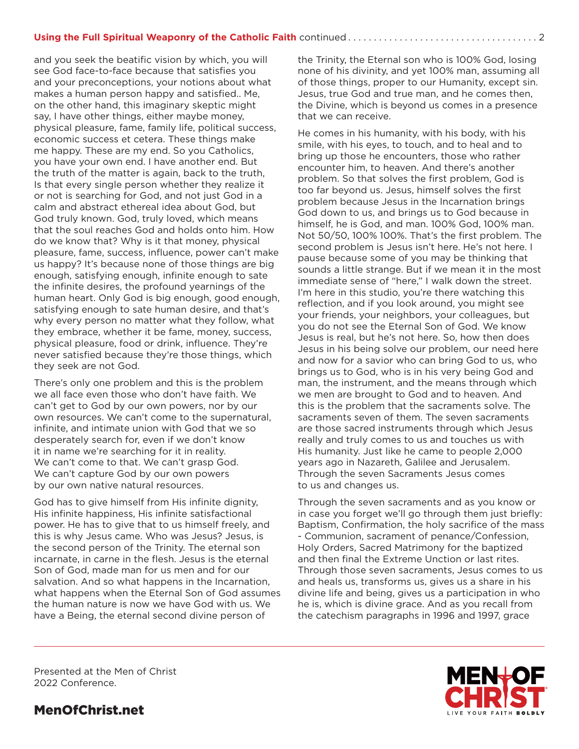and you seek the beatific vision by which, you will see God face-to-face because that satisfies you and your preconceptions, your notions about what makes a human person happy and satisfied.. Me, on the other hand, this imaginary skeptic might say, I have other things, either maybe money, physical pleasure, fame, family life, political success, economic success et cetera. These things make me happy. These are my end. So you Catholics, you have your own end. I have another end. But the truth of the matter is again, back to the truth, Is that every single person whether they realize it or not is searching for God, and not just God in a calm and abstract ethereal idea about God, but God truly known. God, truly loved, which means that the soul reaches God and holds onto him. How do we know that? Why is it that money, physical pleasure, fame, success, influence, power can't make us happy? It's because none of those things are big enough, satisfying enough, infinite enough to sate the infinite desires, the profound yearnings of the human heart. Only God is big enough, good enough, satisfying enough to sate human desire, and that's why every person no matter what they follow, what they embrace, whether it be fame, money, success, physical pleasure, food or drink, influence. They're never satisfied because they're those things, which they seek are not God.

There's only one problem and this is the problem we all face even those who don't have faith. We can't get to God by our own powers, nor by our own resources. We can't come to the supernatural, infinite, and intimate union with God that we so desperately search for, even if we don't know it in name we're searching for it in reality. We can't come to that. We can't grasp God. We can't capture God by our own powers by our own native natural resources.

God has to give himself from His infinite dignity, His infinite happiness, His infinite satisfactional power. He has to give that to us himself freely, and this is why Jesus came. Who was Jesus? Jesus, is the second person of the Trinity. The eternal son incarnate, in carne in the flesh. Jesus is the eternal Son of God, made man for us men and for our salvation. And so what happens in the Incarnation, what happens when the Eternal Son of God assumes the human nature is now we have God with us. We have a Being, the eternal second divine person of

the Trinity, the Eternal son who is 100% God, losing none of his divinity, and yet 100% man, assuming all of those things, proper to our Humanity, except sin. Jesus, true God and true man, and he comes then, the Divine, which is beyond us comes in a presence that we can receive.

He comes in his humanity, with his body, with his smile, with his eyes, to touch, and to heal and to bring up those he encounters, those who rather encounter him, to heaven. And there's another problem. So that solves the first problem, God is too far beyond us. Jesus, himself solves the first problem because Jesus in the Incarnation brings God down to us, and brings us to God because in himself, he is God, and man. 100% God, 100% man. Not 50/50, 100% 100%. That's the first problem. The second problem is Jesus isn't here. He's not here. I pause because some of you may be thinking that sounds a little strange. But if we mean it in the most immediate sense of "here," I walk down the street. I'm here in this studio, you're there watching this reflection, and if you look around, you might see your friends, your neighbors, your colleagues, but you do not see the Eternal Son of God. We know Jesus is real, but he's not here. So, how then does Jesus in his being solve our problem, our need here and now for a savior who can bring God to us, who brings us to God, who is in his very being God and man, the instrument, and the means through which we men are brought to God and to heaven. And this is the problem that the sacraments solve. The sacraments seven of them. The seven sacraments are those sacred instruments through which Jesus really and truly comes to us and touches us with His humanity. Just like he came to people 2,000 years ago in Nazareth, Galilee and Jerusalem. Through the seven Sacraments Jesus comes to us and changes us.

Through the seven sacraments and as you know or in case you forget we'll go through them just briefly: Baptism, Confirmation, the holy sacrifice of the mass - Communion, sacrament of penance/Confession, Holy Orders, Sacred Matrimony for the baptized and then final the Extreme Unction or last rites. Through those seven sacraments, Jesus comes to us and heals us, transforms us, gives us a share in his divine life and being, gives us a participation in who he is, which is divine grace. And as you recall from the catechism paragraphs in 1996 and 1997, grace

Presented at the Men of Christ 2022 Conference.

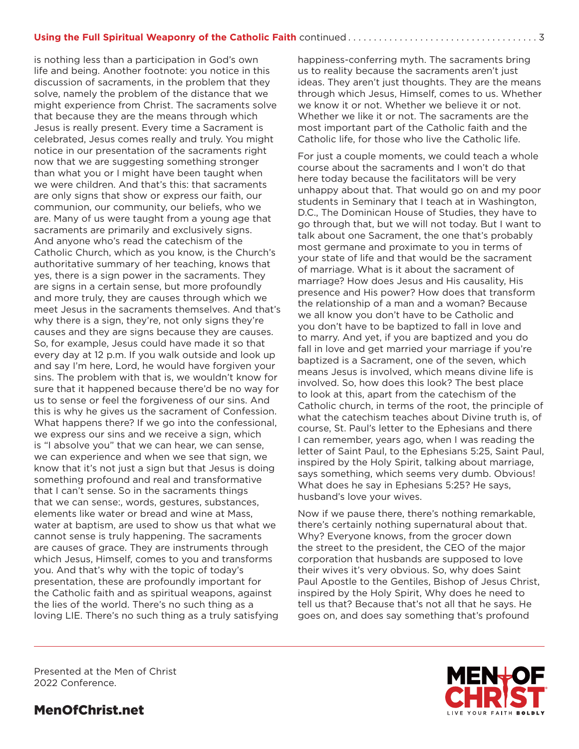is nothing less than a participation in God's own life and being. Another footnote: you notice in this discussion of sacraments, in the problem that they solve, namely the problem of the distance that we might experience from Christ. The sacraments solve that because they are the means through which Jesus is really present. Every time a Sacrament is celebrated, Jesus comes really and truly. You might notice in our presentation of the sacraments right now that we are suggesting something stronger than what you or I might have been taught when we were children. And that's this: that sacraments are only signs that show or express our faith, our communion, our community, our beliefs, who we are. Many of us were taught from a young age that sacraments are primarily and exclusively signs. And anyone who's read the catechism of the Catholic Church, which as you know, is the Church's authoritative summary of her teaching, knows that yes, there is a sign power in the sacraments. They are signs in a certain sense, but more profoundly and more truly, they are causes through which we meet Jesus in the sacraments themselves. And that's why there is a sign, they're, not only signs they're causes and they are signs because they are causes. So, for example, Jesus could have made it so that every day at 12 p.m. If you walk outside and look up and say I'm here, Lord, he would have forgiven your sins. The problem with that is, we wouldn't know for sure that it happened because there'd be no way for us to sense or feel the forgiveness of our sins. And this is why he gives us the sacrament of Confession. What happens there? If we go into the confessional, we express our sins and we receive a sign, which is "I absolve you" that we can hear, we can sense, we can experience and when we see that sign, we know that it's not just a sign but that Jesus is doing something profound and real and transformative that I can't sense. So in the sacraments things that we can sense:, words, gestures, substances, elements like water or bread and wine at Mass, water at baptism, are used to show us that what we cannot sense is truly happening. The sacraments are causes of grace. They are instruments through which Jesus, Himself, comes to you and transforms you. And that's why with the topic of today's presentation, these are profoundly important for the Catholic faith and as spiritual weapons, against the lies of the world. There's no such thing as a loving LIE. There's no such thing as a truly satisfying

happiness-conferring myth. The sacraments bring us to reality because the sacraments aren't just ideas. They aren't just thoughts. They are the means through which Jesus, Himself, comes to us. Whether we know it or not. Whether we believe it or not. Whether we like it or not. The sacraments are the most important part of the Catholic faith and the Catholic life, for those who live the Catholic life.

For just a couple moments, we could teach a whole course about the sacraments and I won't do that here today because the facilitators will be very unhappy about that. That would go on and my poor students in Seminary that I teach at in Washington, D.C., The Dominican House of Studies, they have to go through that, but we will not today. But I want to talk about one Sacrament, the one that's probably most germane and proximate to you in terms of your state of life and that would be the sacrament of marriage. What is it about the sacrament of marriage? How does Jesus and His causality, His presence and His power? How does that transform the relationship of a man and a woman? Because we all know you don't have to be Catholic and you don't have to be baptized to fall in love and to marry. And yet, if you are baptized and you do fall in love and get married your marriage if you're baptized is a Sacrament, one of the seven, which means Jesus is involved, which means divine life is involved. So, how does this look? The best place to look at this, apart from the catechism of the Catholic church, in terms of the root, the principle of what the catechism teaches about Divine truth is, of course, St. Paul's letter to the Ephesians and there I can remember, years ago, when I was reading the letter of Saint Paul, to the Ephesians 5:25, Saint Paul, inspired by the Holy Spirit, talking about marriage, says something, which seems very dumb. Obvious! What does he say in Ephesians 5:25? He says, husband's love your wives.

Now if we pause there, there's nothing remarkable, there's certainly nothing supernatural about that. Why? Everyone knows, from the grocer down the street to the president, the CEO of the major corporation that husbands are supposed to love their wives it's very obvious. So, why does Saint Paul Apostle to the Gentiles, Bishop of Jesus Christ, inspired by the Holy Spirit, Why does he need to tell us that? Because that's not all that he says. He goes on, and does say something that's profound

Presented at the Men of Christ 2022 Conference.

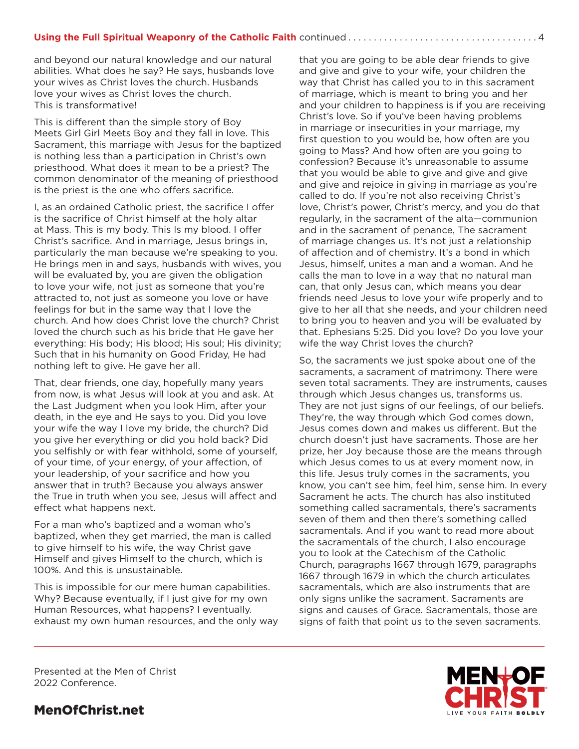and beyond our natural knowledge and our natural abilities. What does he say? He says, husbands love your wives as Christ loves the church. Husbands love your wives as Christ loves the church. This is transformative!

This is different than the simple story of Boy Meets Girl Girl Meets Boy and they fall in love. This Sacrament, this marriage with Jesus for the baptized is nothing less than a participation in Christ's own priesthood. What does it mean to be a priest? The common denominator of the meaning of priesthood is the priest is the one who offers sacrifice.

I, as an ordained Catholic priest, the sacrifice I offer is the sacrifice of Christ himself at the holy altar at Mass. This is my body. This Is my blood. I offer Christ's sacrifice. And in marriage, Jesus brings in, particularly the man because we're speaking to you. He brings men in and says, husbands with wives, you will be evaluated by, you are given the obligation to love your wife, not just as someone that you're attracted to, not just as someone you love or have feelings for but in the same way that I love the church. And how does Christ love the church? Christ loved the church such as his bride that He gave her everything: His body; His blood; His soul; His divinity; Such that in his humanity on Good Friday, He had nothing left to give. He gave her all.

That, dear friends, one day, hopefully many years from now, is what Jesus will look at you and ask. At the Last Judgment when you look Him, after your death, in the eye and He says to you. Did you love your wife the way I love my bride, the church? Did you give her everything or did you hold back? Did you selfishly or with fear withhold, some of yourself, of your time, of your energy, of your affection, of your leadership, of your sacrifice and how you answer that in truth? Because you always answer the True in truth when you see, Jesus will affect and effect what happens next.

For a man who's baptized and a woman who's baptized, when they get married, the man is called to give himself to his wife, the way Christ gave Himself and gives Himself to the church, which is 100%. And this is unsustainable.

This is impossible for our mere human capabilities. Why? Because eventually, if I just give for my own Human Resources, what happens? I eventually. exhaust my own human resources, and the only way that you are going to be able dear friends to give and give and give to your wife, your children the way that Christ has called you to in this sacrament of marriage, which is meant to bring you and her and your children to happiness is if you are receiving Christ's love. So if you've been having problems in marriage or insecurities in your marriage, my first question to you would be, how often are you going to Mass? And how often are you going to confession? Because it's unreasonable to assume that you would be able to give and give and give and give and rejoice in giving in marriage as you're called to do. If you're not also receiving Christ's love, Christ's power, Christ's mercy, and you do that regularly, in the sacrament of the alta—communion and in the sacrament of penance, The sacrament of marriage changes us. It's not just a relationship of affection and of chemistry. It's a bond in which Jesus, himself, unites a man and a woman. And he calls the man to love in a way that no natural man can, that only Jesus can, which means you dear friends need Jesus to love your wife properly and to give to her all that she needs, and your children need to bring you to heaven and you will be evaluated by that. Ephesians 5:25. Did you love? Do you love your wife the way Christ loves the church?

So, the sacraments we just spoke about one of the sacraments, a sacrament of matrimony. There were seven total sacraments. They are instruments, causes through which Jesus changes us, transforms us. They are not just signs of our feelings, of our beliefs. They're, the way through which God comes down, Jesus comes down and makes us different. But the church doesn't just have sacraments. Those are her prize, her Joy because those are the means through which Jesus comes to us at every moment now, in this life. Jesus truly comes in the sacraments, you know, you can't see him, feel him, sense him. In every Sacrament he acts. The church has also instituted something called sacramentals, there's sacraments seven of them and then there's something called sacramentals. And if you want to read more about the sacramentals of the church, I also encourage you to look at the Catechism of the Catholic Church, paragraphs 1667 through 1679, paragraphs 1667 through 1679 in which the church articulates sacramentals, which are also instruments that are only signs unlike the sacrament. Sacraments are signs and causes of Grace. Sacramentals, those are signs of faith that point us to the seven sacraments.



Presented at the Men of Christ 2022 Conference.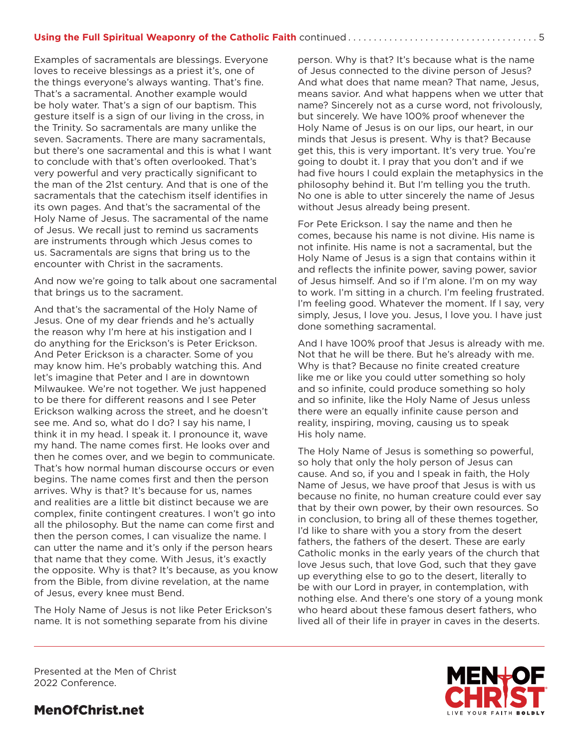Examples of sacramentals are blessings. Everyone loves to receive blessings as a priest it's, one of the things everyone's always wanting. That's fine. That's a sacramental. Another example would be holy water. That's a sign of our baptism. This gesture itself is a sign of our living in the cross, in the Trinity. So sacramentals are many unlike the seven. Sacraments. There are many sacramentals, but there's one sacramental and this is what I want to conclude with that's often overlooked. That's very powerful and very practically significant to the man of the 21st century. And that is one of the sacramentals that the catechism itself identifies in its own pages. And that's the sacramental of the Holy Name of Jesus. The sacramental of the name of Jesus. We recall just to remind us sacraments are instruments through which Jesus comes to us. Sacramentals are signs that bring us to the encounter with Christ in the sacraments.

And now we're going to talk about one sacramental that brings us to the sacrament.

And that's the sacramental of the Holy Name of Jesus. One of my dear friends and he's actually the reason why I'm here at his instigation and I do anything for the Erickson's is Peter Erickson. And Peter Erickson is a character. Some of you may know him. He's probably watching this. And let's imagine that Peter and I are in downtown Milwaukee. We're not together. We just happened to be there for different reasons and I see Peter Erickson walking across the street, and he doesn't see me. And so, what do I do? I say his name, I think it in my head. I speak it. I pronounce it, wave my hand. The name comes first. He looks over and then he comes over, and we begin to communicate. That's how normal human discourse occurs or even begins. The name comes first and then the person arrives. Why is that? It's because for us, names and realities are a little bit distinct because we are complex, finite contingent creatures. I won't go into all the philosophy. But the name can come first and then the person comes, I can visualize the name. I can utter the name and it's only if the person hears that name that they come. With Jesus, it's exactly the opposite. Why is that? It's because, as you know from the Bible, from divine revelation, at the name of Jesus, every knee must Bend.

The Holy Name of Jesus is not like Peter Erickson's name. It is not something separate from his divine

person. Why is that? It's because what is the name of Jesus connected to the divine person of Jesus? And what does that name mean? That name, Jesus, means savior. And what happens when we utter that name? Sincerely not as a curse word, not frivolously, but sincerely. We have 100% proof whenever the Holy Name of Jesus is on our lips, our heart, in our minds that Jesus is present. Why is that? Because get this, this is very important. It's very true. You're going to doubt it. I pray that you don't and if we had five hours I could explain the metaphysics in the philosophy behind it. But I'm telling you the truth. No one is able to utter sincerely the name of Jesus without Jesus already being present.

For Pete Erickson. I say the name and then he comes, because his name is not divine. His name is not infinite. His name is not a sacramental, but the Holy Name of Jesus is a sign that contains within it and reflects the infinite power, saving power, savior of Jesus himself. And so if I'm alone. I'm on my way to work. I'm sitting in a church. I'm feeling frustrated. I'm feeling good. Whatever the moment. If I say, very simply, Jesus, I love you. Jesus, I love you. I have just done something sacramental.

And I have 100% proof that Jesus is already with me. Not that he will be there. But he's already with me. Why is that? Because no finite created creature like me or like you could utter something so holy and so infinite, could produce something so holy and so infinite, like the Holy Name of Jesus unless there were an equally infinite cause person and reality, inspiring, moving, causing us to speak His holy name.

The Holy Name of Jesus is something so powerful, so holy that only the holy person of Jesus can cause. And so, if you and I speak in faith, the Holy Name of Jesus, we have proof that Jesus is with us because no finite, no human creature could ever say that by their own power, by their own resources. So in conclusion, to bring all of these themes together, I'd like to share with you a story from the desert fathers, the fathers of the desert. These are early Catholic monks in the early years of the church that love Jesus such, that love God, such that they gave up everything else to go to the desert, literally to be with our Lord in prayer, in contemplation, with nothing else. And there's one story of a young monk who heard about these famous desert fathers, who lived all of their life in prayer in caves in the deserts.



Presented at the Men of Christ 2022 Conference.